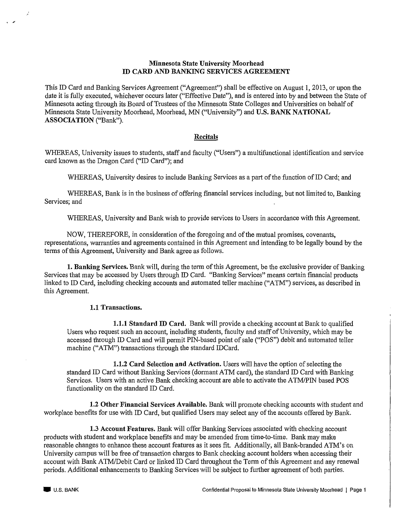## **Minnesota State University Moorhead** ID CARD AND BANKING SERVICES AGREEMENT

This ID Card and Banking Services Agreement ("Agreement") shall be effective on August 1, 2013, or upon the date it is fully executed, whichever occurs later ("Effective Date"), and is entered into by and between the State of Minnesota acting through its Board of Trustees of the Minnesota State Colleges and Universities on behalf of Minnesota State University Moorhead, Moorhead, MN ("University") and U.S. BANK NATIONAL ASSOCIATION ("Bank").

### Recitals

WHEREAS, University issues to students, staff and faculty ("Users") a multifunctional identification and service card known as the Dragon Card ("ID Card"); and

WHEREAS, University desires to include Banking Services as a part of the function of ID Card; and

WHEREAS, Bank is in the business of offering financial services including, but not limited to, Banking Services; and

WHEREAS, University and Bank wish to provide services to Users in accordance with this Agreement.

NOW, THEREFORE, in consideration of the foregoing and of the mutual promises, covenants, representations, warranties and agreements contained in this Agreement and intending to be legally bound by the terms of this Agreement, University and Bank agree as follows.

1. Banking Services. Bank will, during the term of this Agreement, be the exclusive provider of Banking Services that may be accessed by Users through ID Card. "Banking Services" means certain financial products linked to ID Card, including checking accounts and automated teller machine ("ATM") services, as described in this Agreement.

## 1.1 Transactions.

**1.1.1 Standard ID Card.** Bank will provide a checking account at Bank to qualified Users who request such an account, including students, faculty and staff of University, which may be accessed through ID Card and will permit PIN-based point of sale ("POS") debit and automated teller machine ("ATM") transactions through the standard IDCard.

1.1.2 Card Selection and Activation. Users will have the option of selecting the standard ID Card without Banking Services (dormant ATM card), the standard ID Card with Banking Services. Users with an active Bank checking account are able to activate the ATM/PIN based POS functionality on the standard ID Card.

1.2 Other Financial Services Available. Bank will promote checking accounts with student and workplace benefits for use with ID Card, but qualified Users may select any of the accounts offered by Bank.

**1.3 Account Features.** Bank will offer Banking Services associated with checking account products with student and workplace benefits and may be amended from time-to-time. Bank may make reasonable changes to enhance these account features as it sees fit. Additionally, all Bank-branded ATM's on University campus will be free of transaction charges to Bank checking account holders when accessing their account with Bank ATM/Debit Card or linked ID Card throughout the Term of this Agreement and any renewal periods. Additional enhancements to Banking Services will be subject to further agreement of both parties.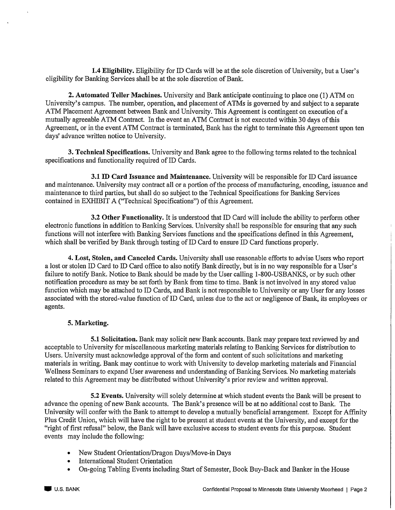1.4 Eligibility. Eligibility for ID Cards will be at the sole discretion of University, but a User's eligibility for Banking Services shall be at the sole discretion of Bank.

2. Automated Teller Machines. University and Bank anticipate continuing to place one (1) ATM on University's campus. The number, operation, and placement of ATMs is governed by and subject to a separate ATM Placement Agreement between Bank and University. This Agreement is contingent on execution of a mutually agreeable ATM Contract. In the event an ATM Contract is not executed within 30 days of this Agreement, or in the event ATM Contract is terminated, Bank has the right to terminate this Agreement upon ten days' advance written notice to University.

3. Technical Specifications. University and Bank agree to the following terms related to the technical specifications and functionality required of ID Cards.

3.1 ID Card Issuance and Maintenance. University will be responsible for ID Card issuance and maintenance. University may contract all or a portion of the process of manufacturing, encoding, issuance and maintenance to third parties, but shall do so subject to the Technical Specifications for Banking Services contained in EXHIBIT A ("Technical Specifications") of this Agreement.

3.2 Other Functionality. It is understood that ID Card will include the ability to perform other electronic functions in addition to Banking Services. University shall be responsible for ensuring that any such functions will not interfere with Banking Services functions and the specifications defined in this Agreement, which shall be verified by Bank through testing of ID Card to ensure ID Card functions properly.

4. Lost, Stolen, and Canceled Cards. University shall use reasonable efforts to advise Users who report a lost or stolen ID Card to ID Card office to also notify Bank directly, but is in no way responsible for a User's failure to notify Bank. Notice to Bank should be made by the User calling 1-800-USBANKS, or by such other notification procedure as may be set forth by Bank from time to time. Bank is not involved in any stored value function which may be attached to ID Cards, and Bank is not responsible to University or any User for any losses associated with the stored-value function of ID Card, unless due to the act or negligence of Bank, its employees or agents.

## 5. Marketing.

5.1 Solicitation. Bank may solicit new Bank accounts. Bank may prepare text reviewed by and acceptable to University for miscellaneous marketing materials relating to Banking Services for distribution to Users. University must acknowledge approval of the form and content of such solicitations and marketing materials in writing. Bank may continue to work with University to develop marketing materials and Financial Wellness Seminars to expand User awareness and understanding of Banking Services. No marketing materials related to this Agreement may be distributed without University's prior review and written approval.

5.2 Events. University will solely determine at which student events the Bank will be present to advance the opening of new Bank accounts. The Bank's presence will be at no additional cost to Bank. The University will confer with the Bank to attempt to develop a mutually beneficial arrangement. Except for Affinity Plus Credit Union, which will have the right to be present at student events at the University, and except for the "right of first refusal" below, the Bank will have exclusive access to student events for this purpose. Student events may include the following:

- New Student Orientation/Dragon Days/Move-in Days
- International Student Orientation  $\bullet$
- On-going Tabling Events including Start of Semester, Book Buy-Back and Banker in the House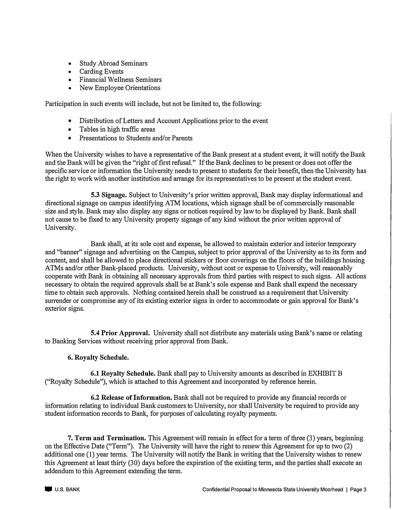- Study Abroad Seminars
- Carding Events
- Financial Wellness Seminars
- New Employee Orientations

Participation in such events will include, but not be limited to, the following:

- Distribution of Letters and Account Applications prior to the event
- Tables in high traffic areas
- Presentations to Students and/or Parents

When the University wishes to have a representative of the Bank present at a student event, it will notify the Bank and the Bank will be given the "right of first refusal." If the Bank declines to be present or does not offer the specific service or information the University needs to present to students for their benefit, then the University has the right to work with another institution and arrange for its representatives to be present at the student event.

**5.3 Signage.** Subject to University's prior written approval, Bank may display informational and directional signage on campus identifying ATM locations, which signage shall be of commercially reasonable size and style. Bank may also display any signs or notices required by law to be displayed by Bank. Bank shall not cause to be fixed to any University property signage of any kind without the prior written approval of University.

Bank shall, at its sole cost and expense, be allowed to maintain exterior and interior temporary and "banner" signage and advertising on the Campus, subject to prior approval of the University as to its form and content, and shall be allowed to place directional stickers or floor coverings on the floors of the buildings housing ATMs and/or other Bank-placed products. University, without cost or expense to University, will reasonably cooperate with Bank in obtaining all necessary approvals from third parties with respect to such signs. All actions necessary to obtain the required approvals shall be at Bank's sole expense and Bank shall expend the necessary time to obtain such approvals. Nothing contained herein shall be construed as a requirement that University surrender or compromise any of its existing exterior signs in order to accommodate or gain approval for Bank's exterior signs.

**5.4 Prior Approval.** University shall not distribute any materials using Bank's name or relating to Banking Services without receiving prior approval from Bank.

## **6. Royalty Schedule.**

**6.1 Royalty Schedule.** Bank shall pay to University amounts as described in EXHIBIT B ("Royalty Schedule"), which is attached to this Agreement and incorporated by reference herein.

**6.2 Release of Information.** Bank shall not be required to provide any financial records or information relating to individual Bank customers to University, nor shall University be required to provide any student information records to Bank, for purposes of calculating royalty payments.

**7. Term and Termination.** This Agreement will remain in effect for a term of three (3) years, beginning on the Effective Date ("Term"). The University will have the right to renew this Agreement for up to two (2) additional one (1) year terms. The University will notify the Bank in writing that the University wishes to renew this Agreement at least thirty (30) days before the expiration of the existing term, and the parties shall execute an addendum to this Agreement extending the term.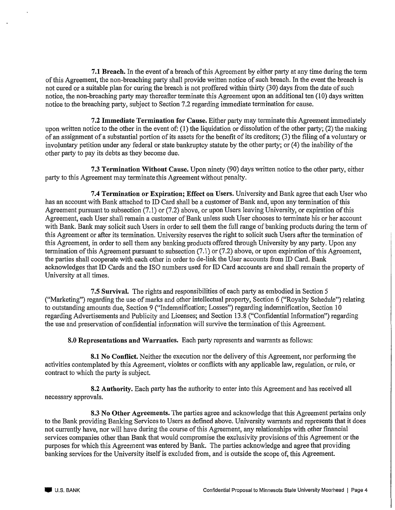7.1 Breach. In the event of a breach of this Agreement by either party at any time during the term of this Agreement, the non-breaching party shall provide written notice of such breach. In the event the breach is not cured or a suitable plan for curing the breach is not proffered within thirty (30) days from the date of such notice, the non-breaching party may thereafter terminate this Agreement upon an additional ten (10) days written notice to the breaching party, subject to Section 7.2 regarding immediate termination for cause.

7.2 Immediate Termination for Cause. Either party may terminate this Agreement immediately upon written notice to the other in the event of: (1) the liquidation or dissolution of the other party; (2) the making of an assignment of a substantial portion of its assets for the benefit of its creditors; (3) the filing of a voluntary or involuntary petition under any federal or state bankruptcy statute by the other party; or (4) the inability of the other party to pay its debts as they become due.

7.3 Termination Without Cause. Upon ninety (90) days written notice to the other party, either party to this Agreement may terminate this Agreement without penalty.

7.4 Termination or Expiration; Effect on Users. University and Bank agree that each User who has an account with Bank attached to ID Card shall be a customer of Bank and, upon any termination of this Agreement pursuant to subsection (7.1) or (7.2) above, or upon Users leaving University, or expiration of this Agreement, each User shall remain a customer of Bank unless such User chooses to terminate his or her account with Bank. Bank may solicit such Users in order to sell them the full range of banking products during the term of this Agreement or after its termination. University reserves the right to solicit such Users after the termination of this Agreement, in order to sell them any banking products offered through University by any party. Upon any termination of this Agreement pursuant to subsection (7.1) or (7.2) above, or upon expiration of this Agreement, the parties shall cooperate with each other in order to de-link the User accounts from ID Card. Bank acknowledges that ID Cards and the ISO numbers used for ID Card accounts are and shall remain the property of University at all times.

7.5 Survival. The rights and responsibilities of each party as embodied in Section 5 ("Marketing") regarding the use of marks and other intellectual property, Section 6 ("Royalty Schedule") relating to outstanding amounts due, Section 9 ("Indemnification; Losses") regarding indemnification, Section 10 regarding Advertisements and Publicity and Licenses; and Section 13.8 ("Confidential Information") regarding the use and preservation of confidential information will survive the termination of this Agreement.

8.0 Representations and Warranties. Each party represents and warrants as follows:

**8.1 No Conflict.** Neither the execution nor the delivery of this Agreement, nor performing the activities contemplated by this Agreement, violates or conflicts with any applicable law, regulation, or rule, or contract to which the party is subject.

8.2 Authority. Each party has the authority to enter into this Agreement and has received all necessary approvals.

8.3 No Other Agreements. The parties agree and acknowledge that this Agreement pertains only to the Bank providing Banking Services to Users as defined above. University warrants and represents that it does not currently have, nor will have during the course of this Agreement, any relationships with other financial services companies other than Bank that would compromise the exclusivity provisions of this Agreement or the purposes for which this Agreement was entered by Bank. The parties acknowledge and agree that providing banking services for the University itself is excluded from, and is outside the scope of, this Agreement.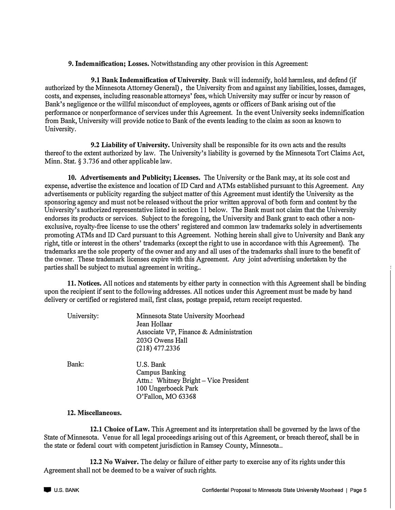**9. Indemnification; Losses.** Notwithstanding any other provision in this Agreement:

**9.1 Bank Indemnification of University.** Bank will indemnify, hold harmless, and defend (if authorized by the Minnesota Attorney General) , the University from and against any liabilities, losses, damages, costs, and expenses, including reasonable attorneys' fees, which University may suffer or incur by reason of Bank's negligence or the willful misconduct of employees, agents or officers of Bank arising out of the performance or nonperformance of services under this Agreement. In the event University seeks indemnification from Bank, University will provide notice to Bank of the events leading to the claim as soon as known to University.

**9.2 Liability of University.** University shall be responsible for its own acts and the results thereof to the extent authorized by law. The University's liability is governed by the Minnesota Tort Claims Act, Minn. Stat. § 3.736 and other applicable law.

**10. Advertisements and Publicity; Licenses.** The University or the Bank may, at its sole cost and expense, advertise the existence and location of ID Card and ATMs established pursuant to this Agreement. Any advertisements or publicity regarding the subject matter of this Agreement must identify the University as the sponsoring agency and must not be released without the prior written approval of both form and content by the University's authorized representative listed in section 11 below. The Bank must not claim that the University endorses its products or services. Subject to the foregoing, the University and Bank grant to each other a nonexclusive, royalty-free license to use the others' registered and common law trademarks solely in advertisements promoting A TMs and ID Card pursuant to this Agreement. Nothing herein shall give to University and Bank any right, title or interest in the others' trademarks ( except the right to use in accordance with this Agreement). The trademarks are the sole property of the owner and any and all uses of the trademarks shall inure to the benefit of the owner. These trademark licenses expire with this Agreement. Any joint advertising undertaken by the parties shall be subject to mutual agreement in writing...

**11. Notices.** All notices and statements by either party in connection with this Agreement shall be binding upon the recipient if sent to the following addresses. All notices under this Agreement must be made by hand delivery or certified or registered mail, first class, postage prepaid, return receipt requested.

| University: | Minnesota State University Moorhead<br>Jean Hollaar<br>Associate VP, Finance & Administration<br>203G Owens Hall<br>$(218)$ 477.2336 |
|-------------|--------------------------------------------------------------------------------------------------------------------------------------|
| Bank:       | U.S. Bank<br><b>Campus Banking</b><br>Attn.: Whitney Bright - Vice President<br>100 Ungerboeck Park<br>O'Fallon, MO 63368            |

#### **12. Miscellaneous.**

**12.1 Choice of Law.** This Agreement and its interpretation shall be governed by the laws of the State of Minnesota. Venue for all legal proceedings arising out of this Agreement, or breach thereof, shall be in the state or federal court with competent jurisdiction in Ramsey County, Minnesota ..

**12.2 No Waiver.** The delay or failure of either party to exercise any of its rights under this Agreement shall not be deemed to be a waiver of such rights.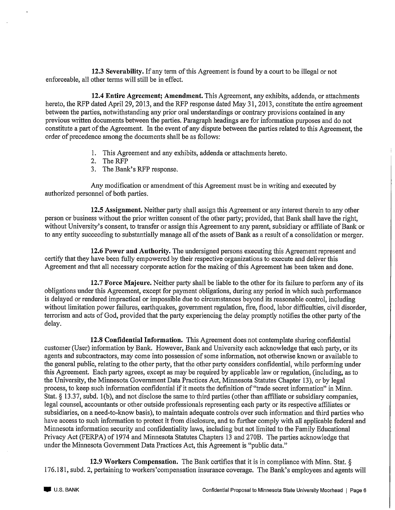12.3 Severability. If any term of this Agreement is found by a court to be illegal or not enforceable, all other terms will still be in effect.

12.4 Entire Agreement; Amendment. This Agreement, any exhibits, addenda, or attachments hereto, the RFP dated April 29, 2013, and the RFP response dated May 31, 2013, constitute the entire agreement between the parties, notwithstanding any prior oral understandings or contrary provisions contained in any previous written documents between the parties. Paragraph headings are for information purposes and do not constitute a part of the Agreement. In the event of any dispute between the parties related to this Agreement, the order of precedence among the documents shall be as follows:

- 1. This Agreement and any exhibits, addenda or attachments hereto.
- 2. The RFP
- 3. The Bank's RFP response.

Any modification or amendment of this Agreement must be in writing and executed by authorized personnel of both parties.

12.5 Assignment. Neither party shall assign this Agreement or any interest therein to any other person or business without the prior written consent of the other party; provided, that Bank shall have the right, without University's consent, to transfer or assign this Agreement to any parent, subsidiary or affiliate of Bank or to any entity succeeding to substantially manage all of the assets of Bank as a result of a consolidation or merger.

12.6 Power and Authority. The undersigned persons executing this Agreement represent and certify that they have been fully empowered by their respective organizations to execute and deliver this Agreement and that all necessary corporate action for the making of this Agreement has been taken and done.

12.7 Force Majeure. Neither party shall be liable to the other for its failure to perform any of its obligations under this Agreement, except for payment obligations, during any period in which such performance is delayed or rendered impractical or impossible due to circumstances beyond its reasonable control, including without limitation power failures, earthquakes, government regulation, fire, flood, labor difficulties, civil disorder, terrorism and acts of God, provided that the party experiencing the delay promptly notifies the other party of the delay.

12.8 Confidential Information. This Agreement does not contemplate sharing confidential customer (User) information by Bank. However, Bank and University each acknowledge that each party, or its agents and subcontractors, may come into possession of some information, not otherwise known or available to the general public, relating to the other party, that the other party considers confidential, while performing under this Agreement. Each party agrees, except as may be required by applicable law or regulation, (including, as to the University, the Minnesota Government Data Practices Act, Minnesota Statutes Chapter 13), or by legal process, to keep such information confidential if it meets the definition of "trade secret information" in Minn. Stat. § 13.37, subd. 1(b), and not disclose the same to third parties (other than affiliate or subsidiary companies, legal counsel, accountants or other outside professionals representing each party or its respective affiliates or subsidiaries, on a need-to-know basis), to maintain adequate controls over such information and third parties who have access to such information to protect it from disclosure, and to further comply with all applicable federal and Minnesota information security and confidentiality laws, including but not limited to the Family Educational Privacy Act (FERPA) of 1974 and Minnesota Statutes Chapters 13 and 270B. The parties acknowledge that under the Minnesota Government Data Practices Act, this Agreement is "public data."

12.9 Workers Compensation. The Bank certifies that it is in compliance with Minn. Stat.  $\S$ 176.181, subd. 2, pertaining to workers' compensation insurance coverage. The Bank's employees and agents will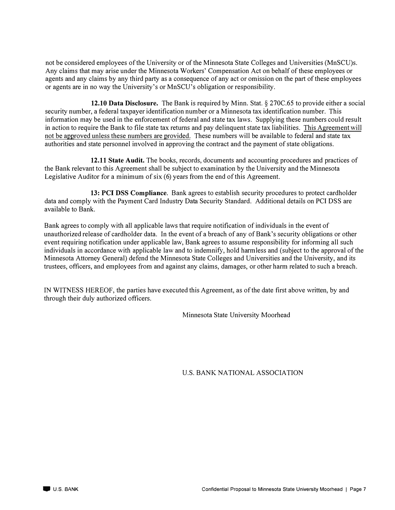not be considered employees of the University or of the Minnesota State Colleges and Universities (MnSCU)s. Any claims that may arise under the Minnesota Workers' Compensation Act on behalf of these employees or agents and any claims by any third party as a consequence of any act or omission on the part of these employees or agents are in no way the University's or MnSCU's obligation or responsibility.

**12.10 Data Disclosure.** The Bank is required by Minn. Stat.§ 270C.65 to provide either a social security number, a federal taxpayer identification number or a Minnesota tax identification number. This information may be used in the enforcement of federal and state tax laws. Supplying these numbers could result in action to require the Bank to file state tax returns and pay delinquent state tax liabilities. This Agreement will not be approved unless these numbers are provided. These numbers will be available to federal and state tax authorities and state personnel involved in approving the contract and the payment of state obligations.

**12.11 State Audit.** The books, records, documents and accounting procedures and practices of the Bank relevant to this Agreement shall be subject to examination by the University and the Minnesota Legislative Auditor for a minimum of six (6) years from the end of this Agreement.

**13: PCI DSS Compliance.** Bank agrees to establish security procedures to protect cardholder data and comply with the Payment Card Industry Data Security Standard. Additional details on PCI DSS are available to Bank.

Bank agrees to comply with all applicable laws that require notification of individuals in the event of unauthorized release of cardholder data. In the event of a breach of any of Bank's security obligations or other event requiring notification under applicable law, Bank agrees to assume responsibility for informing all such individuals in accordance with applicable law and to indemnify, hold harmless and (subject to the approval of the Minnesota Attorney General) defend the Minnesota State Colleges and Universities and the University, and its trustees, officers, and employees from and against any claims, damages, or other harm related to such a breach.

IN WITNESS HEREOF, the parties have executed this Agreement, as of the date first above written, by and through their duly authorized officers.

Minnesota State University Moorhead

U.S. BANK NATIONAL ASSOCIATION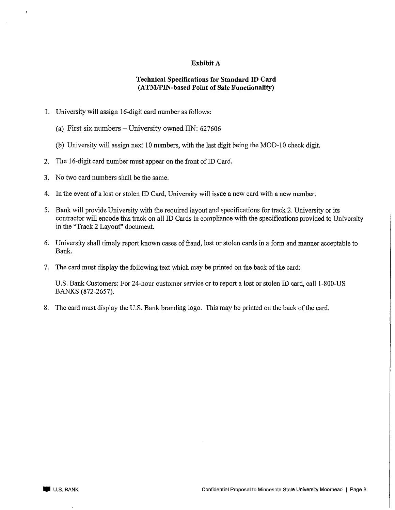### Exhibit A

## **Technical Specifications for Standard ID Card** (ATM/PIN-based Point of Sale Functionality)

- 1. University will assign 16-digit card number as follows:
	- (a) First six numbers University owned IIN: 627606
	- (b) University will assign next 10 numbers, with the last digit being the MOD-10 check digit.
- 2. The 16-digit card number must appear on the front of ID Card.
- 3. No two card numbers shall be the same.
- 4. In the event of a lost or stolen ID Card, University will issue a new card with a new number.
- 5. Bank will provide University with the required layout and specifications for track 2. University or its contractor will encode this track on all ID Cards in compliance with the specifications provided to University in the "Track 2 Layout" document.
- 6. University shall timely report known cases of fraud, lost or stolen cards in a form and manner acceptable to Bank.
- 7. The card must display the following text which may be printed on the back of the card:

U.S. Bank Customers: For 24-hour customer service or to report a lost or stolen ID card, call 1-800-US BANKS (872-2657).

8. The card must display the U.S. Bank branding logo. This may be printed on the back of the card.